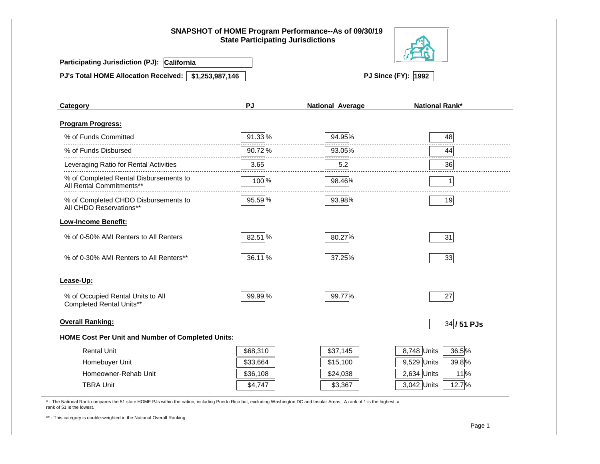|                                                                    | <b>State Participating Jurisdictions</b> | SNAPSHOT of HOME Program Performance--As of 09/30/19 |                        |  |  |  |
|--------------------------------------------------------------------|------------------------------------------|------------------------------------------------------|------------------------|--|--|--|
| Participating Jurisdiction (PJ): California                        |                                          |                                                      |                        |  |  |  |
| PJ's Total HOME Allocation Received: \$1,253,987,146               |                                          | <b>PJ Since (FY): 1992</b>                           |                        |  |  |  |
| Category                                                           | PJ                                       | <b>National Average</b>                              | <b>National Rank*</b>  |  |  |  |
| <b>Program Progress:</b>                                           |                                          |                                                      |                        |  |  |  |
| % of Funds Committed                                               | 91.33 %                                  | 94.95%                                               | 48                     |  |  |  |
| % of Funds Disbursed                                               | 90.72%                                   | 93.05%                                               | 44                     |  |  |  |
| Leveraging Ratio for Rental Activities                             | 3.65                                     | 5.2                                                  | 36                     |  |  |  |
| % of Completed Rental Disbursements to<br>All Rental Commitments** | 100%                                     | 98.46%                                               | $\mathbf{1}$           |  |  |  |
| % of Completed CHDO Disbursements to<br>All CHDO Reservations**    | 95.59%                                   | 93.98%                                               | 19                     |  |  |  |
| <b>Low-Income Benefit:</b>                                         |                                          |                                                      |                        |  |  |  |
| % of 0-50% AMI Renters to All Renters                              | 82.51%                                   | 80.27%                                               | 31                     |  |  |  |
| % of 0-30% AMI Renters to All Renters**                            | 36.11 %                                  | 37.25%                                               | 33                     |  |  |  |
| Lease-Up:                                                          |                                          |                                                      |                        |  |  |  |
| % of Occupied Rental Units to All<br>Completed Rental Units**      | 99.99%                                   | 99.77%                                               | 27                     |  |  |  |
| <b>Overall Ranking:</b>                                            |                                          |                                                      | 34 / 51 PJs            |  |  |  |
| <b>HOME Cost Per Unit and Number of Completed Units:</b>           |                                          |                                                      |                        |  |  |  |
| <b>Rental Unit</b>                                                 | \$68,310                                 | \$37,145                                             | 8,748 Units<br>36.5%   |  |  |  |
| Homebuyer Unit                                                     | \$33,664                                 | \$15,100                                             | 9,529 Units<br>39.8%   |  |  |  |
| Homeowner-Rehab Unit                                               | \$36,108                                 | \$24,038                                             | $2,634$ Units<br>11%   |  |  |  |
| <b>TBRA Unit</b>                                                   | \$4,747                                  | \$3,367                                              | $3,042$ Units<br>12.7% |  |  |  |

\* - The National Rank compares the 51 state HOME PJs within the nation, including Puerto Rico but, excluding Washington DC and Insular Areas. A rank of 1 is the highest; a rank of 51 is the lowest.

\*\* - This category is double-weighted in the National Overall Ranking.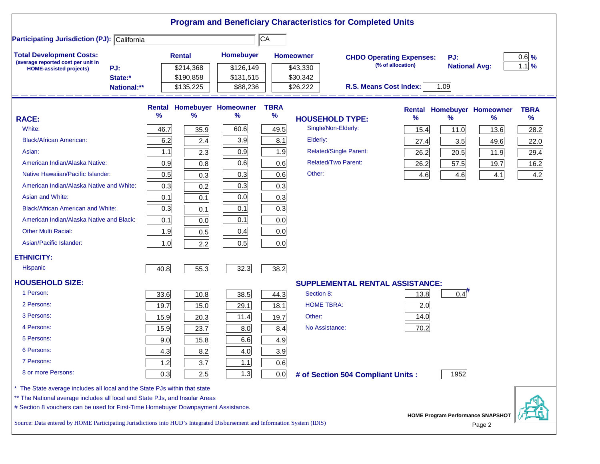|                                                                                                                               |             |                                |               |                                    |                 |                  | <b>Program and Beneficiary Characteristics for Completed Units</b> |                   |                                   |        |               |
|-------------------------------------------------------------------------------------------------------------------------------|-------------|--------------------------------|---------------|------------------------------------|-----------------|------------------|--------------------------------------------------------------------|-------------------|-----------------------------------|--------|---------------|
| <b>Participating Jurisdiction (PJ): California</b>                                                                            |             |                                |               |                                    | $\overline{CA}$ |                  |                                                                    |                   |                                   |        |               |
| <b>Total Development Costs:</b><br>(average reported cost per unit in                                                         |             |                                | <b>Rental</b> | <b>Homebuyer</b>                   |                 | <b>Homeowner</b> | <b>CHDO Operating Expenses:</b>                                    |                   | PJ:                               |        | $0.6$ %       |
| <b>HOME-assisted projects)</b>                                                                                                | PJ:         |                                | \$214,368     | \$126,149                          |                 | \$43,330         |                                                                    | (% of allocation) | <b>National Avg:</b>              |        | $1.1$ %       |
|                                                                                                                               | State:*     |                                | \$190,858     | \$131,515                          |                 | \$30,342         |                                                                    |                   |                                   |        |               |
|                                                                                                                               | National:** |                                | \$135,225     | \$88,236                           |                 | \$26,222         | R.S. Means Cost Index:                                             |                   | 1.09                              |        |               |
|                                                                                                                               |             | <b>Rental</b><br>$\frac{9}{6}$ |               | <b>Homebuyer Homeowner</b><br>$\%$ | <b>TBRA</b>     |                  |                                                                    |                   | <b>Rental Homebuyer Homeowner</b> |        | <b>TBRA</b>   |
| <b>RACE:</b>                                                                                                                  |             |                                | %             |                                    | $\%$            |                  | <b>HOUSEHOLD TYPE:</b>                                             | $\%$              | ℅                                 | $\%$   | $\frac{9}{6}$ |
| White:                                                                                                                        |             | 46.7                           | 35.9          | 60.6                               | 49.5            |                  | Single/Non-Elderly:                                                | 15.4              | 11.0                              | 13.6   | 28.2          |
| <b>Black/African American:</b>                                                                                                |             | 6.2                            | 2.4           | 3.9                                | 8.1             | Elderly:         |                                                                    | 27.4              | 3.5                               | 49.6   | 22.0          |
| Asian:                                                                                                                        |             | 1.1                            | 2.3           | 0.9                                | 1.9             |                  | <b>Related/Single Parent:</b>                                      | 26.2              | 20.5                              | 11.9   | 29.4          |
| American Indian/Alaska Native:                                                                                                |             | 0.9                            | 0.8           | 0.6                                | 0.6             |                  | <b>Related/Two Parent:</b>                                         | 26.2              | 57.5                              | 19.7   | 16.2          |
| Native Hawaiian/Pacific Islander:                                                                                             |             | 0.5                            | 0.3           | 0.3                                | 0.6             | Other:           |                                                                    | 4.6               | 4.6                               | 4.1    | 4.2           |
| American Indian/Alaska Native and White:                                                                                      |             | 0.3                            | 0.2           | 0.3                                | 0.3             |                  |                                                                    |                   |                                   |        |               |
| Asian and White:                                                                                                              |             | 0.1                            | 0.1           | 0.0                                | 0.3             |                  |                                                                    |                   |                                   |        |               |
| <b>Black/African American and White:</b>                                                                                      |             | 0.3                            | 0.1           | 0.1                                | 0.3             |                  |                                                                    |                   |                                   |        |               |
| American Indian/Alaska Native and Black:                                                                                      |             | 0.1                            | 0.0           | 0.1                                | 0.0             |                  |                                                                    |                   |                                   |        |               |
| <b>Other Multi Racial:</b>                                                                                                    |             | 1.9                            | 0.5           | 0.4                                | 0.0             |                  |                                                                    |                   |                                   |        |               |
| Asian/Pacific Islander:                                                                                                       |             | 1.0                            | 2.2           | 0.5                                | 0.0             |                  |                                                                    |                   |                                   |        |               |
| <b>ETHNICITY:</b>                                                                                                             |             |                                |               |                                    |                 |                  |                                                                    |                   |                                   |        |               |
| <b>Hispanic</b>                                                                                                               |             | 40.8                           | 55.3          | 32.3                               | 38.2            |                  |                                                                    |                   |                                   |        |               |
| <b>HOUSEHOLD SIZE:</b>                                                                                                        |             |                                |               |                                    |                 |                  | <b>SUPPLEMENTAL RENTAL ASSISTANCE:</b>                             |                   |                                   |        |               |
| 1 Person:                                                                                                                     |             | 33.6                           | 10.8          | 38.5                               | 44.3            | Section 8:       |                                                                    | 13.8              | 0.4                               |        |               |
| 2 Persons:                                                                                                                    |             | 19.7                           | 15.0          | 29.1                               | 18.1            |                  | <b>HOME TBRA:</b>                                                  | 2.0               |                                   |        |               |
| 3 Persons:                                                                                                                    |             | 15.9                           | 20.3          | 11.4                               | 19.7            | Other:           |                                                                    | 14.0              |                                   |        |               |
| 4 Persons:                                                                                                                    |             | 15.9                           | 23.7          | 8.0                                | 8.4             |                  | No Assistance:                                                     | 70.2              |                                   |        |               |
| 5 Persons:                                                                                                                    |             | 9.0                            | 15.8          | 6.6                                | 4.9             |                  |                                                                    |                   |                                   |        |               |
| 6 Persons:                                                                                                                    |             | 4.3                            | 8.2           | 4.0                                | 3.9             |                  |                                                                    |                   |                                   |        |               |
| 7 Persons:                                                                                                                    |             | 1.2                            | 3.7           | 1.1                                | 0.6             |                  |                                                                    |                   |                                   |        |               |
| 8 or more Persons:                                                                                                            |             | 0.3                            | 2.5           | 1.3                                | 0.0             |                  | # of Section 504 Compliant Units :                                 |                   | 1952                              |        |               |
| * The State average includes all local and the State PJs within that state                                                    |             |                                |               |                                    |                 |                  |                                                                    |                   |                                   |        |               |
| ** The National average includes all local and State PJs, and Insular Areas                                                   |             |                                |               |                                    |                 |                  |                                                                    |                   |                                   |        |               |
| # Section 8 vouchers can be used for First-Time Homebuyer Downpayment Assistance.<br><b>HOME Program Performance SNAPSHOT</b> |             |                                |               |                                    |                 |                  |                                                                    |                   |                                   |        |               |
| Source: Data entered by HOME Participating Jurisdictions into HUD's Integrated Disbursement and Information System (IDIS)     |             |                                |               |                                    |                 |                  |                                                                    |                   |                                   | Page 2 |               |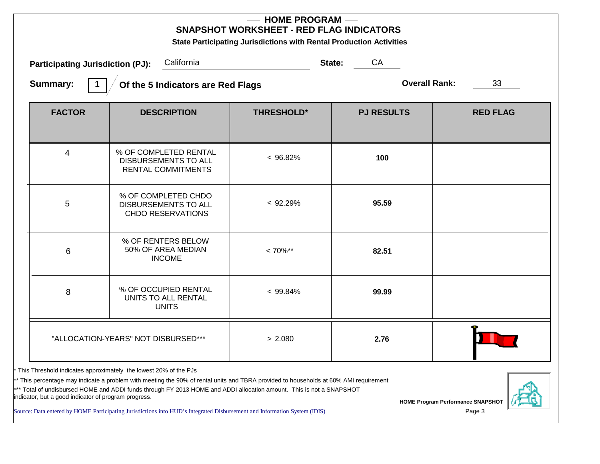| <b>HOME PROGRAM --</b><br><b>SNAPSHOT WORKSHEET - RED FLAG INDICATORS</b><br>State Participating Jurisdictions with Rental Production Activities |                                                                            |                   |                   |                 |  |  |
|--------------------------------------------------------------------------------------------------------------------------------------------------|----------------------------------------------------------------------------|-------------------|-------------------|-----------------|--|--|
| <b>Participating Jurisdiction (PJ):</b>                                                                                                          | California                                                                 |                   | State:<br>CA      |                 |  |  |
| <b>Overall Rank:</b><br><b>Summary:</b><br>33<br>Of the 5 Indicators are Red Flags                                                               |                                                                            |                   |                   |                 |  |  |
| <b>FACTOR</b>                                                                                                                                    | <b>DESCRIPTION</b>                                                         | <b>THRESHOLD*</b> | <b>PJ RESULTS</b> | <b>RED FLAG</b> |  |  |
| 4                                                                                                                                                | % OF COMPLETED RENTAL<br>DISBURSEMENTS TO ALL<br><b>RENTAL COMMITMENTS</b> | $< 96.82\%$       | 100               |                 |  |  |
| $\overline{5}$                                                                                                                                   | % OF COMPLETED CHDO<br>DISBURSEMENTS TO ALL<br><b>CHDO RESERVATIONS</b>    | < 92.29%          | 95.59             |                 |  |  |
| 6                                                                                                                                                | % OF RENTERS BELOW<br>50% OF AREA MEDIAN<br><b>INCOME</b>                  | $< 70\%$ **       | 82.51             |                 |  |  |
| 8                                                                                                                                                | % OF OCCUPIED RENTAL<br>UNITS TO ALL RENTAL<br><b>UNITS</b>                | $< 99.84\%$       | 99.99             |                 |  |  |
|                                                                                                                                                  | "ALLOCATION-YEARS" NOT DISBURSED***                                        | > 2.080           | 2.76              |                 |  |  |

\* This Threshold indicates approximately the lowest 20% of the PJs

\*\* This percentage may indicate a problem with meeting the 90% of rental units and TBRA provided to households at 60% AMI requirement

\*\*\* Total of undisbursed HOME and ADDI funds through FY 2013 HOME and ADDI allocation amount. This is not a SNAPSHOT indicator, but a good indicator of program progress.

Source: Data entered by HOME Participating Jurisdictions into HUD's Integrated Disbursement and Information System (IDIS)

**HOME Program Performance SNAPSHOT**